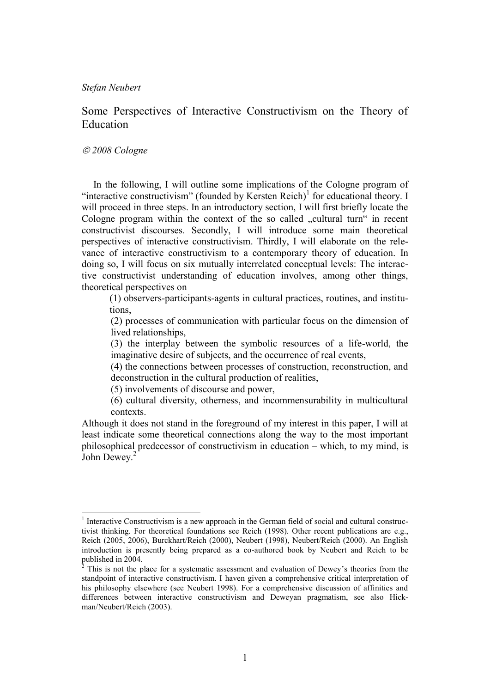#### *Stefan Neubert*

# Some Perspectives of Interactive Constructivism on the Theory of Education

#### *2008 Cologne*

In the following, I will outline some implications of the Cologne program of "interactive constructivism" (founded by Kersten Reich)<sup>1</sup> for educational theory. I will proceed in three steps. In an introductory section, I will first briefly locate the Cologne program within the context of the so called "cultural turn" in recent constructivist discourses. Secondly, I will introduce some main theoretical perspectives of interactive constructivism. Thirdly, I will elaborate on the relevance of interactive constructivism to a contemporary theory of education. In doing so, I will focus on six mutually interrelated conceptual levels: The interactive constructivist understanding of education involves, among other things, theoretical perspectives on

(1) observers-participants-agents in cultural practices, routines, and institutions,

(2) processes of communication with particular focus on the dimension of lived relationships,

(3) the interplay between the symbolic resources of a life-world, the imaginative desire of subjects, and the occurrence of real events,

(4) the connections between processes of construction, reconstruction, and deconstruction in the cultural production of realities,

(5) involvements of discourse and power,

(6) cultural diversity, otherness, and incommensurability in multicultural contexts.

Although it does not stand in the foreground of my interest in this paper, I will at least indicate some theoretical connections along the way to the most important philosophical predecessor of constructivism in education – which, to my mind, is John Dewey.<sup>2</sup>

<sup>&</sup>lt;sup>1</sup> Interactive Constructivism is a new approach in the German field of social and cultural constructivist thinking. For theoretical foundations see Reich (1998). Other recent publications are e.g., Reich (2005, 2006), Burckhart/Reich (2000), Neubert (1998), Neubert/Reich (2000). An English introduction is presently being prepared as a co-authored book by Neubert and Reich to be published in 2004.

<sup>2</sup> This is not the place for a systematic assessment and evaluation of Dewey"s theories from the standpoint of interactive constructivism. I haven given a comprehensive critical interpretation of his philosophy elsewhere (see Neubert 1998). For a comprehensive discussion of affinities and differences between interactive constructivism and Deweyan pragmatism, see also Hickman/Neubert/Reich (2003).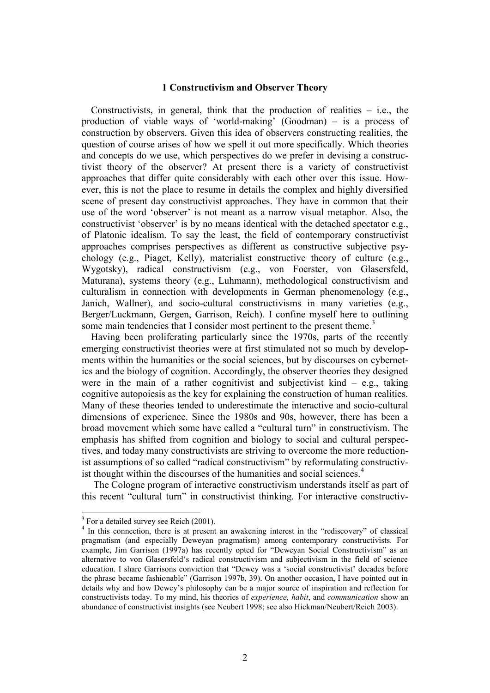#### **1 Constructivism and Observer Theory**

Constructivists, in general, think that the production of realities  $-$  i.e., the production of viable ways of "world-making" (Goodman) – is a process of construction by observers. Given this idea of observers constructing realities, the question of course arises of how we spell it out more specifically. Which theories and concepts do we use, which perspectives do we prefer in devising a constructivist theory of the observer? At present there is a variety of constructivist approaches that differ quite considerably with each other over this issue. However, this is not the place to resume in details the complex and highly diversified scene of present day constructivist approaches. They have in common that their use of the word "observer" is not meant as a narrow visual metaphor. Also, the constructivist 'observer' is by no means identical with the detached spectator e.g., of Platonic idealism. To say the least, the field of contemporary constructivist approaches comprises perspectives as different as constructive subjective psychology (e.g., Piaget, Kelly), materialist constructive theory of culture (e.g., Wygotsky), radical constructivism (e.g., von Foerster, von Glasersfeld, Maturana), systems theory (e.g., Luhmann), methodological constructivism and culturalism in connection with developments in German phenomenology (e.g., Janich, Wallner), and socio-cultural constructivisms in many varieties (e.g., Berger/Luckmann, Gergen, Garrison, Reich). I confine myself here to outlining some main tendencies that I consider most pertinent to the present theme.<sup>3</sup>

Having been proliferating particularly since the 1970s, parts of the recently emerging constructivist theories were at first stimulated not so much by developments within the humanities or the social sciences, but by discourses on cybernetics and the biology of cognition. Accordingly, the observer theories they designed were in the main of a rather cognitivist and subjectivist kind  $-$  e.g., taking cognitive autopoiesis as the key for explaining the construction of human realities. Many of these theories tended to underestimate the interactive and socio-cultural dimensions of experience. Since the 1980s and 90s, however, there has been a broad movement which some have called a "cultural turn" in constructivism. The emphasis has shifted from cognition and biology to social and cultural perspectives, and today many constructivists are striving to overcome the more reductionist assumptions of so called "radical constructivism" by reformulating constructivist thought within the discourses of the humanities and social sciences. $4$ 

The Cologne program of interactive constructivism understands itself as part of this recent "cultural turn" in constructivist thinking. For interactive constructiv-

<sup>&</sup>lt;sup>3</sup> For a detailed survey see Reich (2001).

<sup>&</sup>lt;sup>4</sup> In this connection, there is at present an awakening interest in the "rediscovery" of classical pragmatism (and especially Deweyan pragmatism) among contemporary constructivists. For example, Jim Garrison (1997a) has recently opted for "Deweyan Social Constructivism" as an alternative to von Glasersfeld"s radical constructivism and subjectivism in the field of science education. I share Garrisons conviction that "Dewey was a 'social constructivist' decades before the phrase became fashionable" (Garrison 1997b, 39). On another occasion, I have pointed out in details why and how Dewey"s philosophy can be a major source of inspiration and reflection for constructivists today. To my mind, his theories of *experience, habit*, and *communication* show an abundance of constructivist insights (see Neubert 1998; see also Hickman/Neubert/Reich 2003).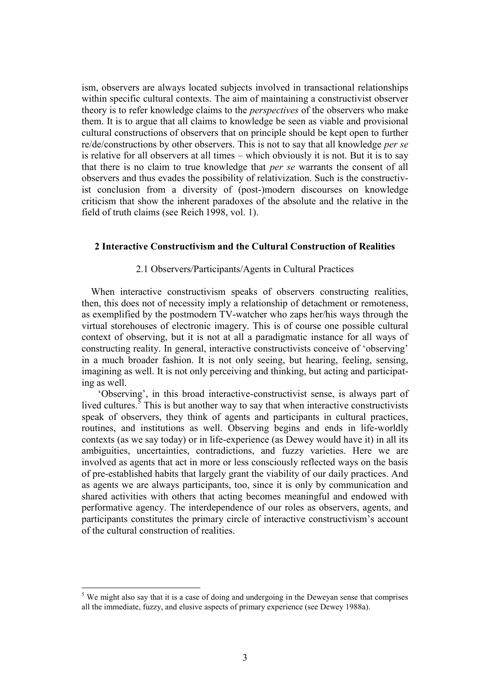ism, observers are always located subjects involved in transactional relationships within specific cultural contexts. The aim of maintaining a constructivist observer theory is to refer knowledge claims to the *perspectives* of the observers who make them. It is to argue that all claims to knowledge be seen as viable and provisional cultural constructions of observers that on principle should be kept open to further re/de/constructions by other observers. This is not to say that all knowledge *per se* is relative for all observers at all times – which obviously it is not. But it is to say that there is no claim to true knowledge that *per se* warrants the consent of all observers and thus evades the possibility of relativization. Such is the constructivist conclusion from a diversity of (post-)modern discourses on knowledge criticism that show the inherent paradoxes of the absolute and the relative in the field of truth claims (see Reich 1998, vol. 1).

#### **2 Interactive Constructivism and the Cultural Construction of Realities**

## 2.1 Observers/Participants/Agents in Cultural Practices

When interactive constructivism speaks of observers constructing realities, then, this does not of necessity imply a relationship of detachment or remoteness, as exemplified by the postmodern TV-watcher who zaps her/his ways through the virtual storehouses of electronic imagery. This is of course one possible cultural context of observing, but it is not at all a paradigmatic instance for all ways of constructing reality. In general, interactive constructivists conceive of "observing" in a much broader fashion. It is not only seeing, but hearing, feeling, sensing, imagining as well. It is not only perceiving and thinking, but acting and participating as well.

"Observing", in this broad interactive-constructivist sense, is always part of lived cultures.<sup>5</sup> This is but another way to say that when interactive constructivists speak of observers, they think of agents and participants in cultural practices, routines, and institutions as well. Observing begins and ends in life-worldly contexts (as we say today) or in life-experience (as Dewey would have it) in all its ambiguities, uncertainties, contradictions, and fuzzy varieties. Here we are involved as agents that act in more or less consciously reflected ways on the basis of pre-established habits that largely grant the viability of our daily practices. And as agents we are always participants, too, since it is only by communication and shared activities with others that acting becomes meaningful and endowed with performative agency. The interdependence of our roles as observers, agents, and participants constitutes the primary circle of interactive constructivism"s account of the cultural construction of realities.

 $<sup>5</sup>$  We might also say that it is a case of doing and undergoing in the Deweyan sense that comprises</sup> all the immediate, fuzzy, and elusive aspects of primary experience (see Dewey 1988a).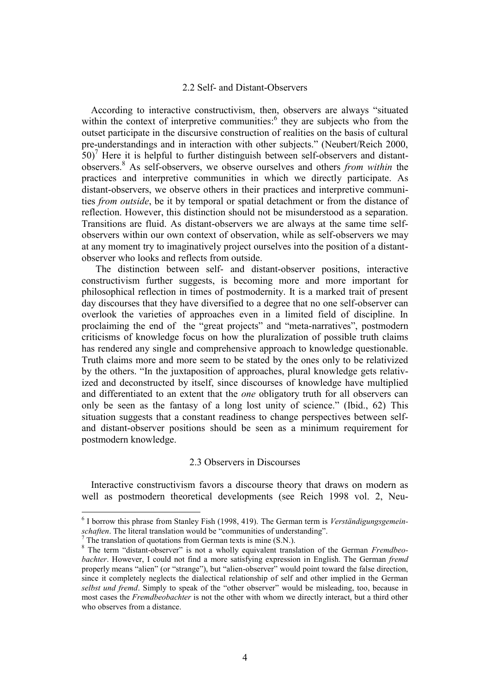#### 2.2 Self- and Distant-Observers

According to interactive constructivism, then, observers are always "situated within the context of interpretive communities:<sup>6</sup> they are subjects who from the outset participate in the discursive construction of realities on the basis of cultural pre-understandings and in interaction with other subjects." (Neubert/Reich 2000,  $50$ <sup>7</sup> Here it is helpful to further distinguish between self-observers and distantobservers.<sup>8</sup> As self-observers, we observe ourselves and others *from within* the practices and interpretive communities in which we directly participate. As distant-observers, we observe others in their practices and interpretive communities *from outside*, be it by temporal or spatial detachment or from the distance of reflection. However, this distinction should not be misunderstood as a separation. Transitions are fluid. As distant-observers we are always at the same time selfobservers within our own context of observation, while as self-observers we may at any moment try to imaginatively project ourselves into the position of a distantobserver who looks and reflects from outside.

The distinction between self- and distant-observer positions, interactive constructivism further suggests, is becoming more and more important for philosophical reflection in times of postmodernity. It is a marked trait of present day discourses that they have diversified to a degree that no one self-observer can overlook the varieties of approaches even in a limited field of discipline. In proclaiming the end of the "great projects" and "meta-narratives", postmodern criticisms of knowledge focus on how the pluralization of possible truth claims has rendered any single and comprehensive approach to knowledge questionable. Truth claims more and more seem to be stated by the ones only to be relativized by the others. "In the juxtaposition of approaches, plural knowledge gets relativized and deconstructed by itself, since discourses of knowledge have multiplied and differentiated to an extent that the *one* obligatory truth for all observers can only be seen as the fantasy of a long lost unity of science." (Ibid., 62) This situation suggests that a constant readiness to change perspectives between selfand distant-observer positions should be seen as a minimum requirement for postmodern knowledge.

#### 2.3 Observers in Discourses

Interactive constructivism favors a discourse theory that draws on modern as well as postmodern theoretical developments (see Reich 1998 vol. 2, Neu-

<sup>6</sup> I borrow this phrase from Stanley Fish (1998, 419). The German term is *Verständigungsgemeinschaften*. The literal translation would be "communities of understanding".

The translation of quotations from German texts is mine  $(S.N.)$ .

<sup>8</sup> The term "distant-observer" is not a wholly equivalent translation of the German *Fremdbeobachter*. However, I could not find a more satisfying expression in English. The German *fremd* properly means "alien" (or "strange"), but "alien-observer" would point toward the false direction, since it completely neglects the dialectical relationship of self and other implied in the German *selbst und fremd*. Simply to speak of the "other observer" would be misleading, too, because in most cases the *Fremdbeobachter* is not the other with whom we directly interact, but a third other who observes from a distance.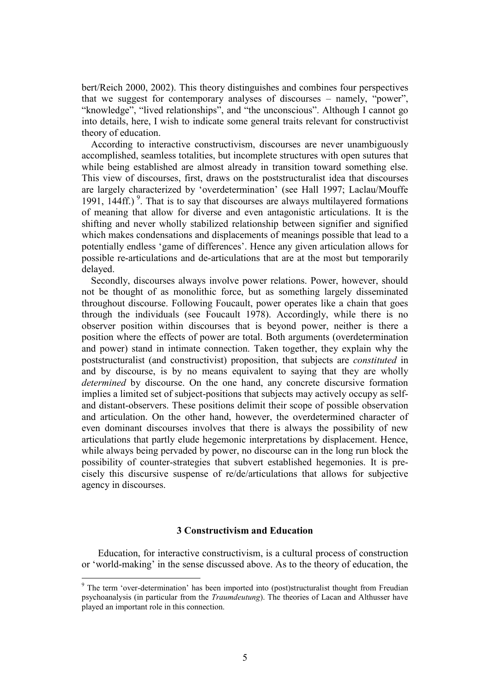bert/Reich 2000, 2002). This theory distinguishes and combines four perspectives that we suggest for contemporary analyses of discourses – namely, "power", "knowledge", "lived relationships", and "the unconscious". Although I cannot go into details, here, I wish to indicate some general traits relevant for constructivist theory of education.

According to interactive constructivism, discourses are never unambiguously accomplished, seamless totalities, but incomplete structures with open sutures that while being established are almost already in transition toward something else. This view of discourses, first, draws on the poststructuralist idea that discourses are largely characterized by "overdetermination" (see Hall 1997; Laclau/Mouffe 1991, 144ff.)<sup>9</sup>. That is to say that discourses are always multilayered formations of meaning that allow for diverse and even antagonistic articulations. It is the shifting and never wholly stabilized relationship between signifier and signified which makes condensations and displacements of meanings possible that lead to a potentially endless "game of differences". Hence any given articulation allows for possible re-articulations and de-articulations that are at the most but temporarily delayed.

Secondly, discourses always involve power relations. Power, however, should not be thought of as monolithic force, but as something largely disseminated throughout discourse. Following Foucault, power operates like a chain that goes through the individuals (see Foucault 1978). Accordingly, while there is no observer position within discourses that is beyond power, neither is there a position where the effects of power are total. Both arguments (overdetermination and power) stand in intimate connection. Taken together, they explain why the poststructuralist (and constructivist) proposition, that subjects are *constituted* in and by discourse, is by no means equivalent to saying that they are wholly *determined* by discourse. On the one hand, any concrete discursive formation implies a limited set of subject-positions that subjects may actively occupy as selfand distant-observers. These positions delimit their scope of possible observation and articulation. On the other hand, however, the overdetermined character of even dominant discourses involves that there is always the possibility of new articulations that partly elude hegemonic interpretations by displacement. Hence, while always being pervaded by power, no discourse can in the long run block the possibility of counter-strategies that subvert established hegemonies. It is precisely this discursive suspense of re/de/articulations that allows for subjective agency in discourses.

#### **3 Constructivism and Education**

Education, for interactive constructivism, is a cultural process of construction or "world-making" in the sense discussed above. As to the theory of education, the

<sup>&</sup>lt;sup>9</sup> The term 'over-determination' has been imported into (post)structuralist thought from Freudian psychoanalysis (in particular from the *Traumdeutung*). The theories of Lacan and Althusser have played an important role in this connection.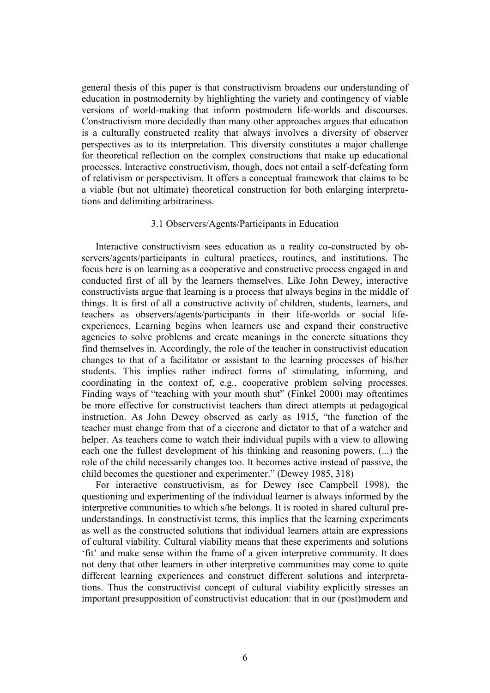general thesis of this paper is that constructivism broadens our understanding of education in postmodernity by highlighting the variety and contingency of viable versions of world-making that inform postmodern life-worlds and discourses. Constructivism more decidedly than many other approaches argues that education is a culturally constructed reality that always involves a diversity of observer perspectives as to its interpretation. This diversity constitutes a major challenge for theoretical reflection on the complex constructions that make up educational processes. Interactive constructivism, though, does not entail a self-defeating form of relativism or perspectivism. It offers a conceptual framework that claims to be a viable (but not ultimate) theoretical construction for both enlarging interpretations and delimiting arbitrariness.

## 3.1 Observers/Agents/Participants in Education

Interactive constructivism sees education as a reality co-constructed by observers/agents/participants in cultural practices, routines, and institutions. The focus here is on learning as a cooperative and constructive process engaged in and conducted first of all by the learners themselves. Like John Dewey, interactive constructivists argue that learning is a process that always begins in the middle of things. It is first of all a constructive activity of children, students, learners, and teachers as observers/agents/participants in their life-worlds or social lifeexperiences. Learning begins when learners use and expand their constructive agencies to solve problems and create meanings in the concrete situations they find themselves in. Accordingly, the role of the teacher in constructivist education changes to that of a facilitator or assistant to the learning processes of his/her students. This implies rather indirect forms of stimulating, informing, and coordinating in the context of, e.g., cooperative problem solving processes. Finding ways of "teaching with your mouth shut" (Finkel 2000) may oftentimes be more effective for constructivist teachers than direct attempts at pedagogical instruction. As John Dewey observed as early as 1915, "the function of the teacher must change from that of a cicerone and dictator to that of a watcher and helper. As teachers come to watch their individual pupils with a view to allowing each one the fullest development of his thinking and reasoning powers, (...) the role of the child necessarily changes too. It becomes active instead of passive, the child becomes the questioner and experimenter." (Dewey 1985, 318)

For interactive constructivism, as for Dewey (see Campbell 1998), the questioning and experimenting of the individual learner is always informed by the interpretive communities to which s/he belongs. It is rooted in shared cultural preunderstandings. In constructivist terms, this implies that the learning experiments as well as the constructed solutions that individual learners attain are expressions of cultural viability. Cultural viability means that these experiments and solutions 'fit' and make sense within the frame of a given interpretive community. It does not deny that other learners in other interpretive communities may come to quite different learning experiences and construct different solutions and interpretations. Thus the constructivist concept of cultural viability explicitly stresses an important presupposition of constructivist education: that in our (post)modern and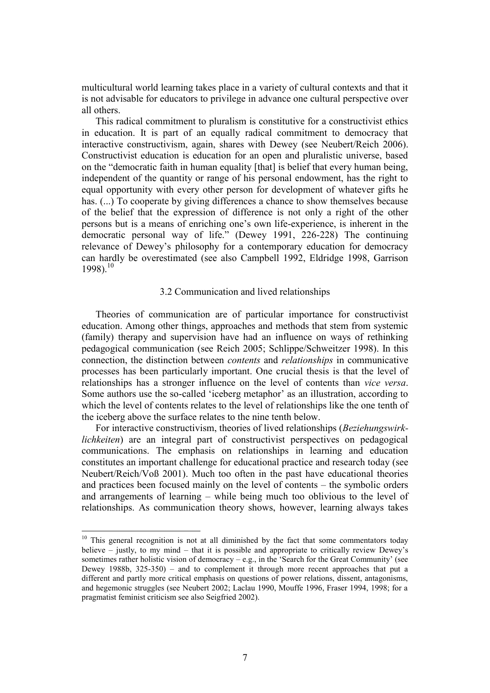multicultural world learning takes place in a variety of cultural contexts and that it is not advisable for educators to privilege in advance one cultural perspective over all others.

This radical commitment to pluralism is constitutive for a constructivist ethics in education. It is part of an equally radical commitment to democracy that interactive constructivism, again, shares with Dewey (see Neubert/Reich 2006). Constructivist education is education for an open and pluralistic universe, based on the "democratic faith in human equality [that] is belief that every human being, independent of the quantity or range of his personal endowment, has the right to equal opportunity with every other person for development of whatever gifts he has.  $(...)$  To cooperate by giving differences a chance to show themselves because of the belief that the expression of difference is not only a right of the other persons but is a means of enriching one"s own life-experience, is inherent in the democratic personal way of life." (Dewey 1991, 226-228) The continuing relevance of Dewey"s philosophy for a contemporary education for democracy can hardly be overestimated (see also Campbell 1992, Eldridge 1998, Garrison 1998).<sup>10</sup>

#### 3.2 Communication and lived relationships

Theories of communication are of particular importance for constructivist education. Among other things, approaches and methods that stem from systemic (family) therapy and supervision have had an influence on ways of rethinking pedagogical communication (see Reich 2005; Schlippe/Schweitzer 1998). In this connection, the distinction between *contents* and *relationships* in communicative processes has been particularly important. One crucial thesis is that the level of relationships has a stronger influence on the level of contents than *vice versa*. Some authors use the so-called "iceberg metaphor" as an illustration, according to which the level of contents relates to the level of relationships like the one tenth of the iceberg above the surface relates to the nine tenth below.

For interactive constructivism, theories of lived relationships (*Beziehungswirklichkeiten*) are an integral part of constructivist perspectives on pedagogical communications. The emphasis on relationships in learning and education constitutes an important challenge for educational practice and research today (see Neubert/Reich/Voß 2001). Much too often in the past have educational theories and practices been focused mainly on the level of contents – the symbolic orders and arrangements of learning – while being much too oblivious to the level of relationships. As communication theory shows, however, learning always takes

 $10$  This general recognition is not at all diminished by the fact that some commentators today believe – justly, to my mind – that it is possible and appropriate to critically review Dewey"s sometimes rather holistic vision of democracy – e.g., in the 'Search for the Great Community' (see Dewey 1988b, 325-350) – and to complement it through more recent approaches that put a different and partly more critical emphasis on questions of power relations, dissent, antagonisms, and hegemonic struggles (see Neubert 2002; Laclau 1990, Mouffe 1996, Fraser 1994, 1998; for a pragmatist feminist criticism see also Seigfried 2002).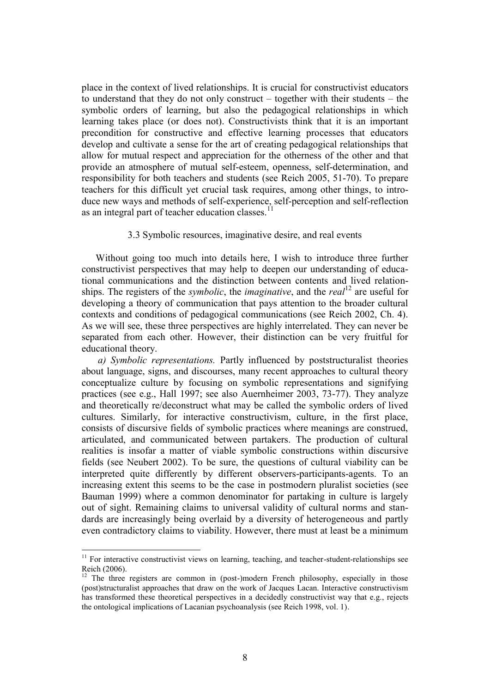place in the context of lived relationships. It is crucial for constructivist educators to understand that they do not only construct – together with their students – the symbolic orders of learning, but also the pedagogical relationships in which learning takes place (or does not). Constructivists think that it is an important precondition for constructive and effective learning processes that educators develop and cultivate a sense for the art of creating pedagogical relationships that allow for mutual respect and appreciation for the otherness of the other and that provide an atmosphere of mutual self-esteem, openness, self-determination, and responsibility for both teachers and students (see Reich 2005, 51-70). To prepare teachers for this difficult yet crucial task requires, among other things, to introduce new ways and methods of self-experience, self-perception and self-reflection as an integral part of teacher education classes. $^{11}$ 

## 3.3 Symbolic resources, imaginative desire, and real events

Without going too much into details here, I wish to introduce three further constructivist perspectives that may help to deepen our understanding of educational communications and the distinction between contents and lived relationships. The registers of the *symbolic*, the *imaginative*, and the *real*<sup>12</sup> are useful for developing a theory of communication that pays attention to the broader cultural contexts and conditions of pedagogical communications (see Reich 2002, Ch. 4). As we will see, these three perspectives are highly interrelated. They can never be separated from each other. However, their distinction can be very fruitful for educational theory.

*a) Symbolic representations.* Partly influenced by poststructuralist theories about language, signs, and discourses, many recent approaches to cultural theory conceptualize culture by focusing on symbolic representations and signifying practices (see e.g., Hall 1997; see also Auernheimer 2003, 73-77). They analyze and theoretically re/deconstruct what may be called the symbolic orders of lived cultures. Similarly, for interactive constructivism, culture, in the first place, consists of discursive fields of symbolic practices where meanings are construed, articulated, and communicated between partakers. The production of cultural realities is insofar a matter of viable symbolic constructions within discursive fields (see Neubert 2002). To be sure, the questions of cultural viability can be interpreted quite differently by different observers-participants-agents. To an increasing extent this seems to be the case in postmodern pluralist societies (see Bauman 1999) where a common denominator for partaking in culture is largely out of sight. Remaining claims to universal validity of cultural norms and standards are increasingly being overlaid by a diversity of heterogeneous and partly even contradictory claims to viability. However, there must at least be a minimum

 $11$  For interactive constructivist views on learning, teaching, and teacher-student-relationships see Reich (2006).

 $12$  The three registers are common in (post-)modern French philosophy, especially in those (post)structuralist approaches that draw on the work of Jacques Lacan. Interactive constructivism has transformed these theoretical perspectives in a decidedly constructivist way that e.g., rejects the ontological implications of Lacanian psychoanalysis (see Reich 1998, vol. 1).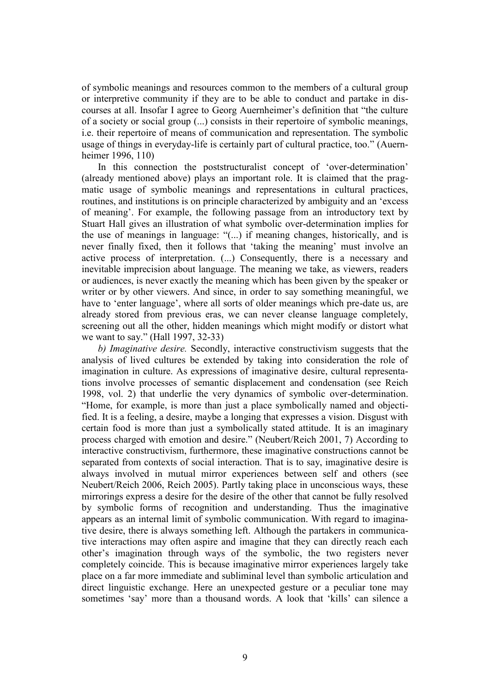of symbolic meanings and resources common to the members of a cultural group or interpretive community if they are to be able to conduct and partake in discourses at all. Insofar I agree to Georg Auernheimer"s definition that "the culture of a society or social group (...) consists in their repertoire of symbolic meanings, i.e. their repertoire of means of communication and representation. The symbolic usage of things in everyday-life is certainly part of cultural practice, too." (Auernheimer 1996, 110)

In this connection the poststructuralist concept of "over-determination" (already mentioned above) plays an important role. It is claimed that the pragmatic usage of symbolic meanings and representations in cultural practices, routines, and institutions is on principle characterized by ambiguity and an "excess of meaning". For example, the following passage from an introductory text by Stuart Hall gives an illustration of what symbolic over-determination implies for the use of meanings in language: "(...) if meaning changes, historically, and is never finally fixed, then it follows that "taking the meaning" must involve an active process of interpretation. (...) Consequently, there is a necessary and inevitable imprecision about language. The meaning we take, as viewers, readers or audiences, is never exactly the meaning which has been given by the speaker or writer or by other viewers. And since, in order to say something meaningful, we have to 'enter language', where all sorts of older meanings which pre-date us, are already stored from previous eras, we can never cleanse language completely, screening out all the other, hidden meanings which might modify or distort what we want to say." (Hall 1997, 32-33)

*b) Imaginative desire.* Secondly, interactive constructivism suggests that the analysis of lived cultures be extended by taking into consideration the role of imagination in culture. As expressions of imaginative desire, cultural representations involve processes of semantic displacement and condensation (see Reich 1998, vol. 2) that underlie the very dynamics of symbolic over-determination. "Home, for example, is more than just a place symbolically named and objectified. It is a feeling, a desire, maybe a longing that expresses a vision. Disgust with certain food is more than just a symbolically stated attitude. It is an imaginary process charged with emotion and desire." (Neubert/Reich 2001, 7) According to interactive constructivism, furthermore, these imaginative constructions cannot be separated from contexts of social interaction. That is to say, imaginative desire is always involved in mutual mirror experiences between self and others (see Neubert/Reich 2006, Reich 2005). Partly taking place in unconscious ways, these mirrorings express a desire for the desire of the other that cannot be fully resolved by symbolic forms of recognition and understanding. Thus the imaginative appears as an internal limit of symbolic communication. With regard to imaginative desire, there is always something left. Although the partakers in communicative interactions may often aspire and imagine that they can directly reach each other"s imagination through ways of the symbolic, the two registers never completely coincide. This is because imaginative mirror experiences largely take place on a far more immediate and subliminal level than symbolic articulation and direct linguistic exchange. Here an unexpected gesture or a peculiar tone may sometimes 'say' more than a thousand words. A look that 'kills' can silence a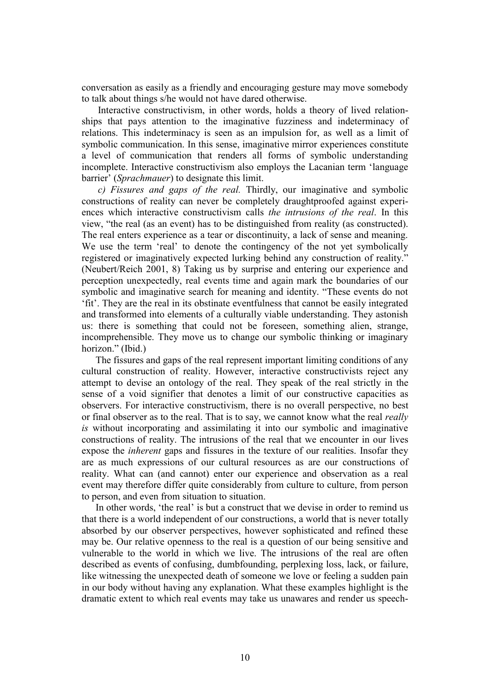conversation as easily as a friendly and encouraging gesture may move somebody to talk about things s/he would not have dared otherwise.

Interactive constructivism, in other words, holds a theory of lived relationships that pays attention to the imaginative fuzziness and indeterminacy of relations. This indeterminacy is seen as an impulsion for, as well as a limit of symbolic communication. In this sense, imaginative mirror experiences constitute a level of communication that renders all forms of symbolic understanding incomplete. Interactive constructivism also employs the Lacanian term "language barrier" (*Sprachmauer*) to designate this limit.

*c) Fissures and gaps of the real.* Thirdly, our imaginative and symbolic constructions of reality can never be completely draughtproofed against experiences which interactive constructivism calls *the intrusions of the real*. In this view, "the real (as an event) has to be distinguished from reality (as constructed). The real enters experience as a tear or discontinuity, a lack of sense and meaning. We use the term 'real' to denote the contingency of the not yet symbolically registered or imaginatively expected lurking behind any construction of reality." (Neubert/Reich 2001, 8) Taking us by surprise and entering our experience and perception unexpectedly, real events time and again mark the boundaries of our symbolic and imaginative search for meaning and identity. "These events do not "fit". They are the real in its obstinate eventfulness that cannot be easily integrated and transformed into elements of a culturally viable understanding. They astonish us: there is something that could not be foreseen, something alien, strange, incomprehensible. They move us to change our symbolic thinking or imaginary horizon." (Ibid.)

The fissures and gaps of the real represent important limiting conditions of any cultural construction of reality. However, interactive constructivists reject any attempt to devise an ontology of the real. They speak of the real strictly in the sense of a void signifier that denotes a limit of our constructive capacities as observers. For interactive constructivism, there is no overall perspective, no best or final observer as to the real. That is to say, we cannot know what the real *really is* without incorporating and assimilating it into our symbolic and imaginative constructions of reality. The intrusions of the real that we encounter in our lives expose the *inherent* gaps and fissures in the texture of our realities. Insofar they are as much expressions of our cultural resources as are our constructions of reality. What can (and cannot) enter our experience and observation as a real event may therefore differ quite considerably from culture to culture, from person to person, and even from situation to situation.

In other words, "the real" is but a construct that we devise in order to remind us that there is a world independent of our constructions, a world that is never totally absorbed by our observer perspectives, however sophisticated and refined these may be. Our relative openness to the real is a question of our being sensitive and vulnerable to the world in which we live. The intrusions of the real are often described as events of confusing, dumbfounding, perplexing loss, lack, or failure, like witnessing the unexpected death of someone we love or feeling a sudden pain in our body without having any explanation. What these examples highlight is the dramatic extent to which real events may take us unawares and render us speech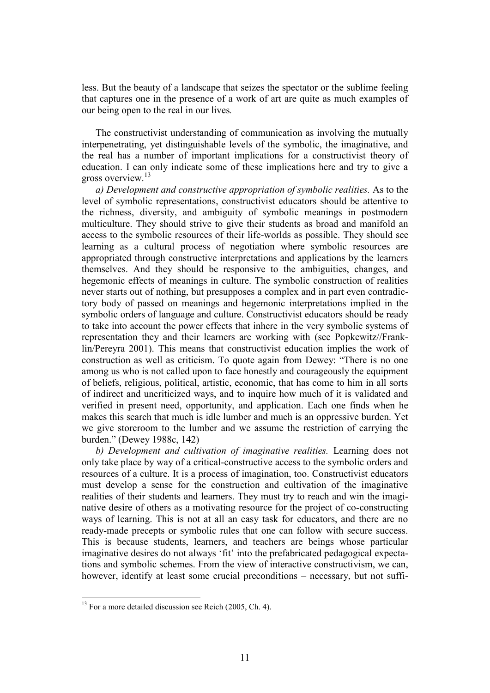less. But the beauty of a landscape that seizes the spectator or the sublime feeling that captures one in the presence of a work of art are quite as much examples of our being open to the real in our lives*.*

The constructivist understanding of communication as involving the mutually interpenetrating, yet distinguishable levels of the symbolic, the imaginative, and the real has a number of important implications for a constructivist theory of education. I can only indicate some of these implications here and try to give a gross overview.<sup>13</sup>

*a) Development and constructive appropriation of symbolic realities.* As to the level of symbolic representations, constructivist educators should be attentive to the richness, diversity, and ambiguity of symbolic meanings in postmodern multiculture. They should strive to give their students as broad and manifold an access to the symbolic resources of their life-worlds as possible. They should see learning as a cultural process of negotiation where symbolic resources are appropriated through constructive interpretations and applications by the learners themselves. And they should be responsive to the ambiguities, changes, and hegemonic effects of meanings in culture. The symbolic construction of realities never starts out of nothing, but presupposes a complex and in part even contradictory body of passed on meanings and hegemonic interpretations implied in the symbolic orders of language and culture. Constructivist educators should be ready to take into account the power effects that inhere in the very symbolic systems of representation they and their learners are working with (see Popkewitz//Franklin/Pereyra 2001). This means that constructivist education implies the work of construction as well as criticism. To quote again from Dewey: "There is no one among us who is not called upon to face honestly and courageously the equipment of beliefs, religious, political, artistic, economic, that has come to him in all sorts of indirect and uncriticized ways, and to inquire how much of it is validated and verified in present need, opportunity, and application. Each one finds when he makes this search that much is idle lumber and much is an oppressive burden. Yet we give storeroom to the lumber and we assume the restriction of carrying the burden." (Dewey 1988c, 142)

*b) Development and cultivation of imaginative realities.* Learning does not only take place by way of a critical-constructive access to the symbolic orders and resources of a culture. It is a process of imagination, too. Constructivist educators must develop a sense for the construction and cultivation of the imaginative realities of their students and learners. They must try to reach and win the imaginative desire of others as a motivating resource for the project of co-constructing ways of learning. This is not at all an easy task for educators, and there are no ready-made precepts or symbolic rules that one can follow with secure success. This is because students, learners, and teachers are beings whose particular imaginative desires do not always 'fit' into the prefabricated pedagogical expectations and symbolic schemes. From the view of interactive constructivism, we can, however, identify at least some crucial preconditions – necessary, but not suffi-

 $13$  For a more detailed discussion see Reich (2005, Ch. 4).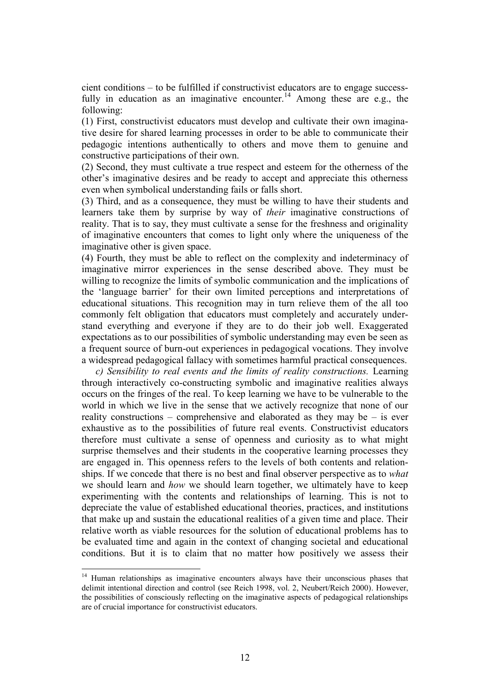cient conditions – to be fulfilled if constructivist educators are to engage successfully in education as an imaginative encounter.<sup>14</sup> Among these are e.g., the following:

(1) First, constructivist educators must develop and cultivate their own imaginative desire for shared learning processes in order to be able to communicate their pedagogic intentions authentically to others and move them to genuine and constructive participations of their own.

(2) Second, they must cultivate a true respect and esteem for the otherness of the other"s imaginative desires and be ready to accept and appreciate this otherness even when symbolical understanding fails or falls short.

(3) Third, and as a consequence, they must be willing to have their students and learners take them by surprise by way of *their* imaginative constructions of reality. That is to say, they must cultivate a sense for the freshness and originality of imaginative encounters that comes to light only where the uniqueness of the imaginative other is given space.

(4) Fourth, they must be able to reflect on the complexity and indeterminacy of imaginative mirror experiences in the sense described above. They must be willing to recognize the limits of symbolic communication and the implications of the "language barrier" for their own limited perceptions and interpretations of educational situations. This recognition may in turn relieve them of the all too commonly felt obligation that educators must completely and accurately understand everything and everyone if they are to do their job well. Exaggerated expectations as to our possibilities of symbolic understanding may even be seen as a frequent source of burn-out experiences in pedagogical vocations. They involve a widespread pedagogical fallacy with sometimes harmful practical consequences.

*c) Sensibility to real events and the limits of reality constructions.* Learning through interactively co-constructing symbolic and imaginative realities always occurs on the fringes of the real. To keep learning we have to be vulnerable to the world in which we live in the sense that we actively recognize that none of our reality constructions – comprehensive and elaborated as they may be – is ever exhaustive as to the possibilities of future real events. Constructivist educators therefore must cultivate a sense of openness and curiosity as to what might surprise themselves and their students in the cooperative learning processes they are engaged in. This openness refers to the levels of both contents and relationships. If we concede that there is no best and final observer perspective as to *what* we should learn and *how* we should learn together, we ultimately have to keep experimenting with the contents and relationships of learning. This is not to depreciate the value of established educational theories, practices, and institutions that make up and sustain the educational realities of a given time and place. Their relative worth as viable resources for the solution of educational problems has to be evaluated time and again in the context of changing societal and educational conditions. But it is to claim that no matter how positively we assess their

<sup>&</sup>lt;sup>14</sup> Human relationships as imaginative encounters always have their unconscious phases that delimit intentional direction and control (see Reich 1998, vol. 2, Neubert/Reich 2000). However, the possibilities of consciously reflecting on the imaginative aspects of pedagogical relationships are of crucial importance for constructivist educators.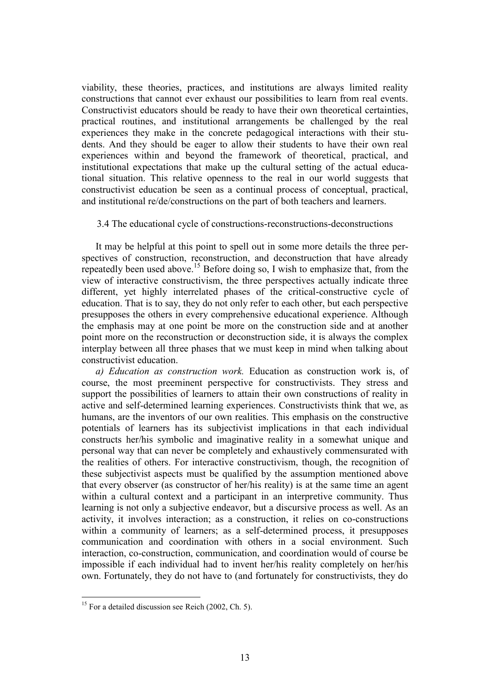viability, these theories, practices, and institutions are always limited reality constructions that cannot ever exhaust our possibilities to learn from real events. Constructivist educators should be ready to have their own theoretical certainties, practical routines, and institutional arrangements be challenged by the real experiences they make in the concrete pedagogical interactions with their students. And they should be eager to allow their students to have their own real experiences within and beyond the framework of theoretical, practical, and institutional expectations that make up the cultural setting of the actual educational situation. This relative openness to the real in our world suggests that constructivist education be seen as a continual process of conceptual, practical, and institutional re/de/constructions on the part of both teachers and learners.

### 3.4 The educational cycle of constructions-reconstructions-deconstructions

It may be helpful at this point to spell out in some more details the three perspectives of construction, reconstruction, and deconstruction that have already repeatedly been used above.<sup>15</sup> Before doing so, I wish to emphasize that, from the view of interactive constructivism, the three perspectives actually indicate three different, yet highly interrelated phases of the critical-constructive cycle of education. That is to say, they do not only refer to each other, but each perspective presupposes the others in every comprehensive educational experience. Although the emphasis may at one point be more on the construction side and at another point more on the reconstruction or deconstruction side, it is always the complex interplay between all three phases that we must keep in mind when talking about constructivist education.

*a) Education as construction work.* Education as construction work is, of course, the most preeminent perspective for constructivists. They stress and support the possibilities of learners to attain their own constructions of reality in active and self-determined learning experiences. Constructivists think that we, as humans, are the inventors of our own realities. This emphasis on the constructive potentials of learners has its subjectivist implications in that each individual constructs her/his symbolic and imaginative reality in a somewhat unique and personal way that can never be completely and exhaustively commensurated with the realities of others. For interactive constructivism, though, the recognition of these subjectivist aspects must be qualified by the assumption mentioned above that every observer (as constructor of her/his reality) is at the same time an agent within a cultural context and a participant in an interpretive community. Thus learning is not only a subjective endeavor, but a discursive process as well. As an activity, it involves interaction; as a construction, it relies on co-constructions within a community of learners; as a self-determined process, it presupposes communication and coordination with others in a social environment. Such interaction, co-construction, communication, and coordination would of course be impossible if each individual had to invent her/his reality completely on her/his own. Fortunately, they do not have to (and fortunately for constructivists, they do

 $15$  For a detailed discussion see Reich (2002, Ch. 5).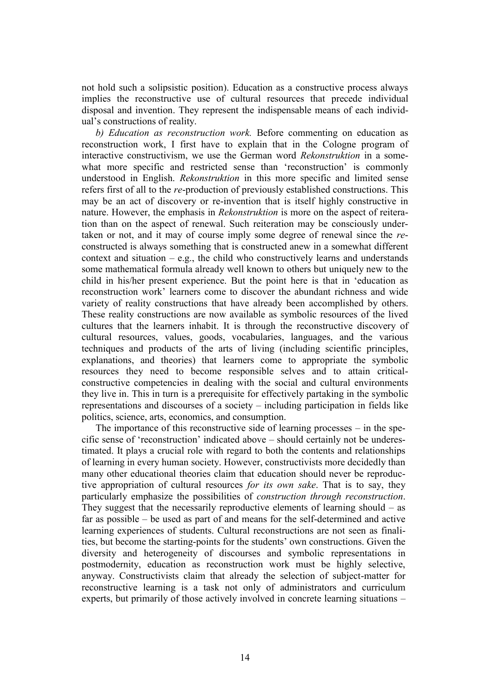not hold such a solipsistic position). Education as a constructive process always implies the reconstructive use of cultural resources that precede individual disposal and invention. They represent the indispensable means of each individual"s constructions of reality.

*b) Education as reconstruction work.* Before commenting on education as reconstruction work, I first have to explain that in the Cologne program of interactive constructivism, we use the German word *Rekonstruktion* in a somewhat more specific and restricted sense than 'reconstruction' is commonly understood in English. *Rekonstruktion* in this more specific and limited sense refers first of all to the *re*-production of previously established constructions. This may be an act of discovery or re-invention that is itself highly constructive in nature. However, the emphasis in *Rekonstruktion* is more on the aspect of reiteration than on the aspect of renewal. Such reiteration may be consciously undertaken or not, and it may of course imply some degree of renewal since the *re*constructed is always something that is constructed anew in a somewhat different context and situation  $-$  e.g., the child who constructively learns and understands some mathematical formula already well known to others but uniquely new to the child in his/her present experience. But the point here is that in "education as reconstruction work" learners come to discover the abundant richness and wide variety of reality constructions that have already been accomplished by others. These reality constructions are now available as symbolic resources of the lived cultures that the learners inhabit. It is through the reconstructive discovery of cultural resources, values, goods, vocabularies, languages, and the various techniques and products of the arts of living (including scientific principles, explanations, and theories) that learners come to appropriate the symbolic resources they need to become responsible selves and to attain criticalconstructive competencies in dealing with the social and cultural environments they live in. This in turn is a prerequisite for effectively partaking in the symbolic representations and discourses of a society – including participation in fields like politics, science, arts, economics, and consumption.

The importance of this reconstructive side of learning processes – in the specific sense of "reconstruction" indicated above – should certainly not be underestimated. It plays a crucial role with regard to both the contents and relationships of learning in every human society. However, constructivists more decidedly than many other educational theories claim that education should never be reproductive appropriation of cultural resources *for its own sake*. That is to say, they particularly emphasize the possibilities of *construction through reconstruction*. They suggest that the necessarily reproductive elements of learning should – as far as possible – be used as part of and means for the self-determined and active learning experiences of students. Cultural reconstructions are not seen as finalities, but become the starting-points for the students" own constructions. Given the diversity and heterogeneity of discourses and symbolic representations in postmodernity, education as reconstruction work must be highly selective, anyway. Constructivists claim that already the selection of subject-matter for reconstructive learning is a task not only of administrators and curriculum experts, but primarily of those actively involved in concrete learning situations –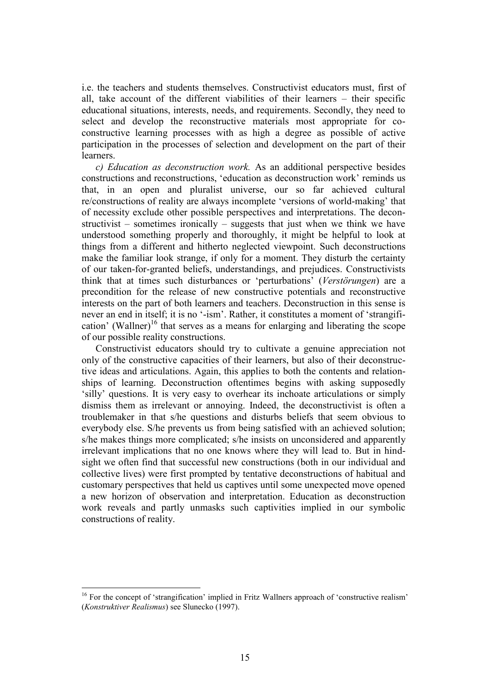i.e. the teachers and students themselves. Constructivist educators must, first of all, take account of the different viabilities of their learners – their specific educational situations, interests, needs, and requirements. Secondly, they need to select and develop the reconstructive materials most appropriate for coconstructive learning processes with as high a degree as possible of active participation in the processes of selection and development on the part of their learners.

*c) Education as deconstruction work.* As an additional perspective besides constructions and reconstructions, "education as deconstruction work" reminds us that, in an open and pluralist universe, our so far achieved cultural re/constructions of reality are always incomplete "versions of world-making" that of necessity exclude other possible perspectives and interpretations. The deconstructivist – sometimes ironically – suggests that just when we think we have understood something properly and thoroughly, it might be helpful to look at things from a different and hitherto neglected viewpoint. Such deconstructions make the familiar look strange, if only for a moment. They disturb the certainty of our taken-for-granted beliefs, understandings, and prejudices. Constructivists think that at times such disturbances or "perturbations" (*Verstörungen*) are a precondition for the release of new constructive potentials and reconstructive interests on the part of both learners and teachers. Deconstruction in this sense is never an end in itself; it is no "-ism". Rather, it constitutes a moment of "strangification' (Wallner)<sup>16</sup> that serves as a means for enlarging and liberating the scope of our possible reality constructions.

Constructivist educators should try to cultivate a genuine appreciation not only of the constructive capacities of their learners, but also of their deconstructive ideas and articulations. Again, this applies to both the contents and relationships of learning. Deconstruction oftentimes begins with asking supposedly "silly" questions. It is very easy to overhear its inchoate articulations or simply dismiss them as irrelevant or annoying. Indeed, the deconstructivist is often a troublemaker in that s/he questions and disturbs beliefs that seem obvious to everybody else. S/he prevents us from being satisfied with an achieved solution; s/he makes things more complicated; s/he insists on unconsidered and apparently irrelevant implications that no one knows where they will lead to. But in hindsight we often find that successful new constructions (both in our individual and collective lives) were first prompted by tentative deconstructions of habitual and customary perspectives that held us captives until some unexpected move opened a new horizon of observation and interpretation. Education as deconstruction work reveals and partly unmasks such captivities implied in our symbolic constructions of reality.

<sup>&</sup>lt;sup>16</sup> For the concept of 'strangification' implied in Fritz Wallners approach of 'constructive realism' (*Konstruktiver Realismus*) see Slunecko (1997).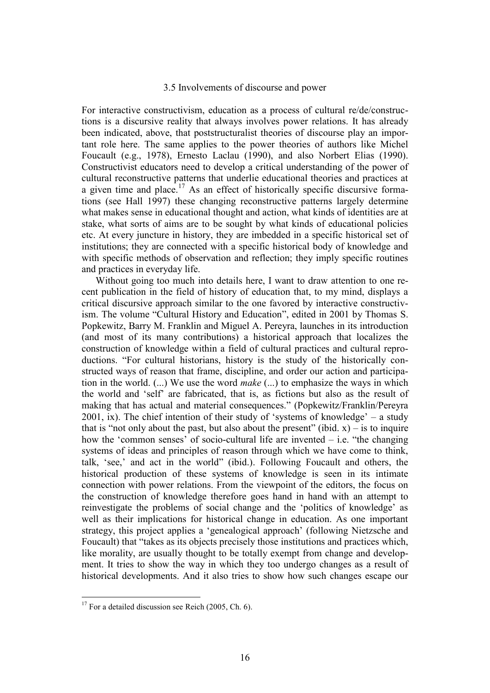#### 3.5 Involvements of discourse and power

For interactive constructivism, education as a process of cultural re/de/constructions is a discursive reality that always involves power relations. It has already been indicated, above, that poststructuralist theories of discourse play an important role here. The same applies to the power theories of authors like Michel Foucault (e.g., 1978), Ernesto Laclau (1990), and also Norbert Elias (1990). Constructivist educators need to develop a critical understanding of the power of cultural reconstructive patterns that underlie educational theories and practices at a given time and place.<sup>17</sup> As an effect of historically specific discursive formations (see Hall 1997) these changing reconstructive patterns largely determine what makes sense in educational thought and action, what kinds of identities are at stake, what sorts of aims are to be sought by what kinds of educational policies etc. At every juncture in history, they are imbedded in a specific historical set of institutions; they are connected with a specific historical body of knowledge and with specific methods of observation and reflection; they imply specific routines and practices in everyday life.

Without going too much into details here, I want to draw attention to one recent publication in the field of history of education that, to my mind, displays a critical discursive approach similar to the one favored by interactive constructivism. The volume "Cultural History and Education", edited in 2001 by Thomas S. Popkewitz, Barry M. Franklin and Miguel A. Pereyra, launches in its introduction (and most of its many contributions) a historical approach that localizes the construction of knowledge within a field of cultural practices and cultural reproductions. "For cultural historians, history is the study of the historically constructed ways of reason that frame, discipline, and order our action and participation in the world. (...) We use the word *make* (...) to emphasize the ways in which the world and "self" are fabricated, that is, as fictions but also as the result of making that has actual and material consequences." (Popkewitz/Franklin/Pereyra  $2001$ , ix). The chief intention of their study of 'systems of knowledge' – a study that is "not only about the past, but also about the present" (ibid.  $x$ ) – is to inquire how the 'common senses' of socio-cultural life are invented  $-$  i.e. "the changing systems of ideas and principles of reason through which we have come to think, talk, "see," and act in the world" (ibid.). Following Foucault and others, the historical production of these systems of knowledge is seen in its intimate connection with power relations. From the viewpoint of the editors, the focus on the construction of knowledge therefore goes hand in hand with an attempt to reinvestigate the problems of social change and the "politics of knowledge" as well as their implications for historical change in education. As one important strategy, this project applies a "genealogical approach" (following Nietzsche and Foucault) that "takes as its objects precisely those institutions and practices which, like morality, are usually thought to be totally exempt from change and development. It tries to show the way in which they too undergo changes as a result of historical developments. And it also tries to show how such changes escape our

 $17$  For a detailed discussion see Reich (2005, Ch. 6).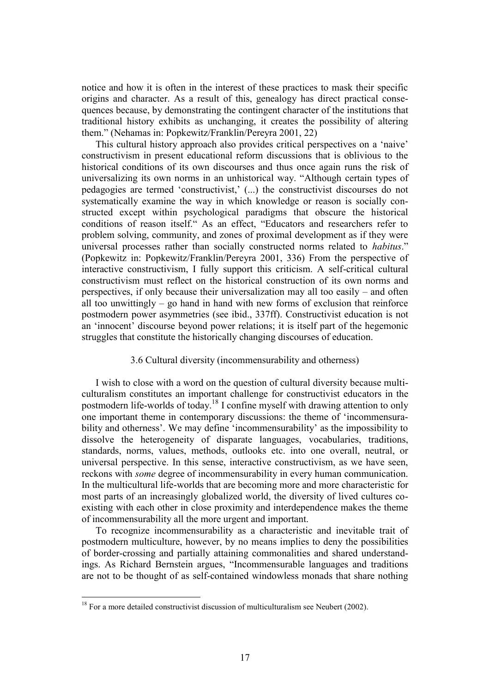notice and how it is often in the interest of these practices to mask their specific origins and character. As a result of this, genealogy has direct practical consequences because, by demonstrating the contingent character of the institutions that traditional history exhibits as unchanging, it creates the possibility of altering them." (Nehamas in: Popkewitz/Franklin/Pereyra 2001, 22)

This cultural history approach also provides critical perspectives on a "naive" constructivism in present educational reform discussions that is oblivious to the historical conditions of its own discourses and thus once again runs the risk of universalizing its own norms in an unhistorical way. "Although certain types of pedagogies are termed 'constructivist,' (...) the constructivist discourses do not systematically examine the way in which knowledge or reason is socially constructed except within psychological paradigms that obscure the historical conditions of reason itself." As an effect, "Educators and researchers refer to problem solving, community, and zones of proximal development as if they were universal processes rather than socially constructed norms related to *habitus*." (Popkewitz in: Popkewitz/Franklin/Pereyra 2001, 336) From the perspective of interactive constructivism, I fully support this criticism. A self-critical cultural constructivism must reflect on the historical construction of its own norms and perspectives, if only because their universalization may all too easily – and often all too unwittingly  $-$  go hand in hand with new forms of exclusion that reinforce postmodern power asymmetries (see ibid., 337ff). Constructivist education is not an "innocent" discourse beyond power relations; it is itself part of the hegemonic struggles that constitute the historically changing discourses of education.

#### 3.6 Cultural diversity (incommensurability and otherness)

I wish to close with a word on the question of cultural diversity because multiculturalism constitutes an important challenge for constructivist educators in the postmodern life-worlds of today.<sup>18</sup> I confine myself with drawing attention to only one important theme in contemporary discussions: the theme of "incommensurability and otherness'. We may define 'incommensurability' as the impossibility to dissolve the heterogeneity of disparate languages, vocabularies, traditions, standards, norms, values, methods, outlooks etc. into one overall, neutral, or universal perspective. In this sense, interactive constructivism, as we have seen, reckons with *some* degree of incommensurability in every human communication. In the multicultural life-worlds that are becoming more and more characteristic for most parts of an increasingly globalized world, the diversity of lived cultures coexisting with each other in close proximity and interdependence makes the theme of incommensurability all the more urgent and important.

To recognize incommensurability as a characteristic and inevitable trait of postmodern multiculture, however, by no means implies to deny the possibilities of border-crossing and partially attaining commonalities and shared understandings. As Richard Bernstein argues, "Incommensurable languages and traditions are not to be thought of as self-contained windowless monads that share nothing

 $18$  For a more detailed constructivist discussion of multiculturalism see Neubert (2002).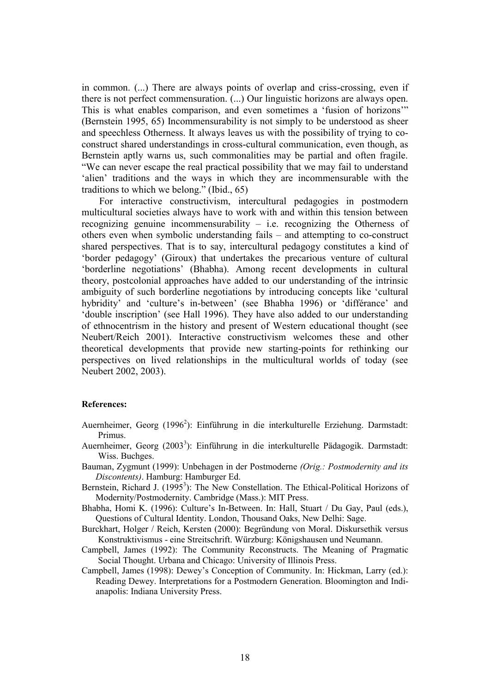in common. (...) There are always points of overlap and criss-crossing, even if there is not perfect commensuration. (...) Our linguistic horizons are always open. This is what enables comparison, and even sometimes a "fusion of horizons"" (Bernstein 1995, 65) Incommensurability is not simply to be understood as sheer and speechless Otherness. It always leaves us with the possibility of trying to coconstruct shared understandings in cross-cultural communication, even though, as Bernstein aptly warns us, such commonalities may be partial and often fragile. "We can never escape the real practical possibility that we may fail to understand 'alien' traditions and the ways in which they are incommensurable with the traditions to which we belong." (Ibid., 65)

For interactive constructivism, intercultural pedagogies in postmodern multicultural societies always have to work with and within this tension between recognizing genuine incommensurability  $-$  i.e. recognizing the Otherness of others even when symbolic understanding fails – and attempting to co-construct shared perspectives. That is to say, intercultural pedagogy constitutes a kind of "border pedagogy" (Giroux) that undertakes the precarious venture of cultural "borderline negotiations" (Bhabha). Among recent developments in cultural theory, postcolonial approaches have added to our understanding of the intrinsic ambiguity of such borderline negotiations by introducing concepts like "cultural hybridity' and 'culture's in-between' (see Bhabha 1996) or 'différance' and "double inscription" (see Hall 1996). They have also added to our understanding of ethnocentrism in the history and present of Western educational thought (see Neubert/Reich 2001). Interactive constructivism welcomes these and other theoretical developments that provide new starting-points for rethinking our perspectives on lived relationships in the multicultural worlds of today (see Neubert 2002, 2003).

#### **References:**

- Auernheimer, Georg (1996<sup>2</sup>): Einführung in die interkulturelle Erziehung. Darmstadt: Primus.
- Auernheimer, Georg (2003<sup>3</sup>): Einführung in die interkulturelle Pädagogik. Darmstadt: Wiss. Buchges.
- Bauman, Zygmunt (1999): Unbehagen in der Postmoderne *(Orig.: Postmodernity and its Discontents)*. Hamburg: Hamburger Ed.
- Bernstein, Richard J. (1995<sup>3</sup>): The New Constellation. The Ethical-Political Horizons of Modernity/Postmodernity. Cambridge (Mass.): MIT Press.
- Bhabha, Homi K. (1996): Culture's In-Between. In: Hall, Stuart / Du Gay, Paul (eds.), Questions of Cultural Identity. London, Thousand Oaks, New Delhi: Sage.
- Burckhart, Holger / Reich, Kersten (2000): Begründung von Moral. Diskursethik versus Konstruktivismus - eine Streitschrift. Würzburg: Königshausen und Neumann.
- Campbell, James (1992): The Community Reconstructs. The Meaning of Pragmatic Social Thought. Urbana and Chicago: University of Illinois Press.
- Campbell, James (1998): Dewey"s Conception of Community. In: Hickman, Larry (ed.): Reading Dewey. Interpretations for a Postmodern Generation. Bloomington and Indianapolis: Indiana University Press.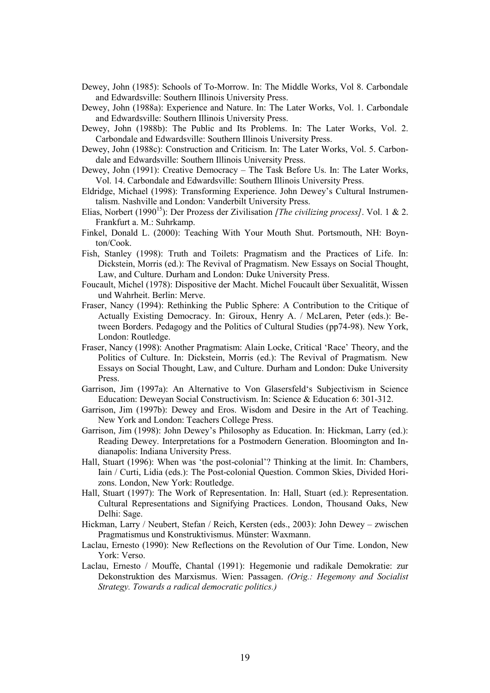- Dewey, John (1985): Schools of To-Morrow. In: The Middle Works, Vol 8. Carbondale and Edwardsville: Southern Illinois University Press.
- Dewey, John (1988a): Experience and Nature. In: The Later Works, Vol. 1. Carbondale and Edwardsville: Southern Illinois University Press.
- Dewey, John (1988b): The Public and Its Problems. In: The Later Works, Vol. 2. Carbondale and Edwardsville: Southern Illinois University Press.
- Dewey, John (1988c): Construction and Criticism. In: The Later Works, Vol. 5. Carbondale and Edwardsville: Southern Illinois University Press.
- Dewey, John (1991): Creative Democracy The Task Before Us. In: The Later Works, Vol. 14. Carbondale and Edwardsville: Southern Illinois University Press.
- Eldridge, Michael (1998): Transforming Experience. John Dewey"s Cultural Instrumentalism. Nashville and London: Vanderbilt University Press.
- Elias, Norbert (1990<sup>15</sup>): Der Prozess der Zivilisation *[The civilizing process]*. Vol. 1 & 2. Frankfurt a. M.: Suhrkamp.
- Finkel, Donald L. (2000): Teaching With Your Mouth Shut. Portsmouth, NH: Boynton/Cook.
- Fish, Stanley (1998): Truth and Toilets: Pragmatism and the Practices of Life. In: Dickstein, Morris (ed.): The Revival of Pragmatism. New Essays on Social Thought, Law, and Culture. Durham and London: Duke University Press.
- Foucault, Michel (1978): Dispositive der Macht. Michel Foucault über Sexualität, Wissen und Wahrheit. Berlin: Merve.
- Fraser, Nancy (1994): Rethinking the Public Sphere: A Contribution to the Critique of Actually Existing Democracy. In: Giroux, Henry A. / McLaren, Peter (eds.): Between Borders. Pedagogy and the Politics of Cultural Studies (pp74-98). New York, London: Routledge.
- Fraser, Nancy (1998): Another Pragmatism: Alain Locke, Critical "Race" Theory, and the Politics of Culture. In: Dickstein, Morris (ed.): The Revival of Pragmatism. New Essays on Social Thought, Law, and Culture. Durham and London: Duke University Press.
- Garrison, Jim (1997a): An Alternative to Von Glasersfeld"s Subjectivism in Science Education: Deweyan Social Constructivism. In: Science & Education 6: 301-312.
- Garrison, Jim (1997b): Dewey and Eros. Wisdom and Desire in the Art of Teaching. New York and London: Teachers College Press.
- Garrison, Jim (1998): John Dewey"s Philosophy as Education. In: Hickman, Larry (ed.): Reading Dewey. Interpretations for a Postmodern Generation. Bloomington and Indianapolis: Indiana University Press.
- Hall, Stuart (1996): When was "the post-colonial"? Thinking at the limit. In: Chambers, Iain / Curti, Lidia (eds.): The Post-colonial Question. Common Skies, Divided Horizons. London, New York: Routledge.
- Hall, Stuart (1997): The Work of Representation. In: Hall, Stuart (ed.): Representation. Cultural Representations and Signifying Practices. London, Thousand Oaks, New Delhi: Sage.
- Hickman, Larry / Neubert, Stefan / Reich, Kersten (eds., 2003): John Dewey zwischen Pragmatismus und Konstruktivismus. Münster: Waxmann.
- Laclau, Ernesto (1990): New Reflections on the Revolution of Our Time. London, New York: Verso.
- Laclau, Ernesto / Mouffe, Chantal (1991): Hegemonie und radikale Demokratie: zur Dekonstruktion des Marxismus. Wien: Passagen. *(Orig.: Hegemony and Socialist Strategy. Towards a radical democratic politics.)*